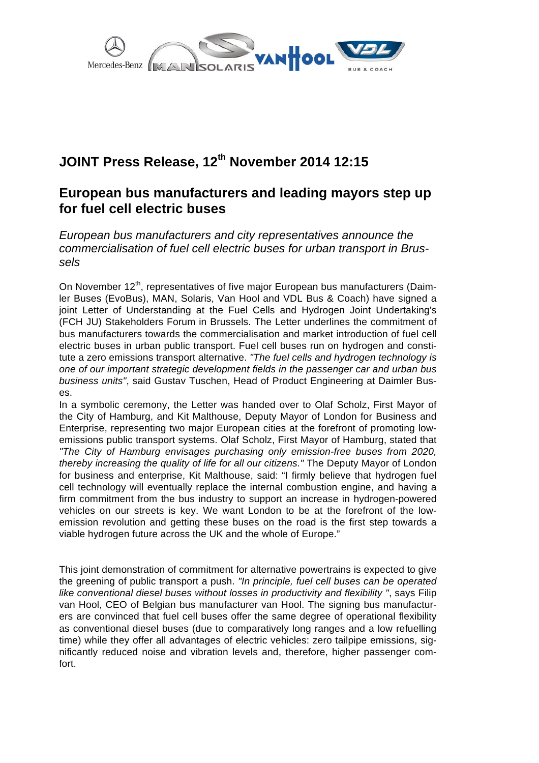

## **JOINT Press Release, 12th November 2014 12:15**

## **European bus manufacturers and leading mayors step up for fuel cell electric buses**

European bus manufacturers and city representatives announce the commercialisation of fuel cell electric buses for urban transport in Brussels

On November 12<sup>th</sup>, representatives of five major European bus manufacturers (Daimler Buses (EvoBus), MAN, Solaris, Van Hool and VDL Bus & Coach) have signed a joint Letter of Understanding at the Fuel Cells and Hydrogen Joint Undertaking's (FCH JU) Stakeholders Forum in Brussels. The Letter underlines the commitment of bus manufacturers towards the commercialisation and market introduction of fuel cell electric buses in urban public transport. Fuel cell buses run on hydrogen and constitute a zero emissions transport alternative. "The fuel cells and hydrogen technology is one of our important strategic development fields in the passenger car and urban bus business units", said Gustav Tuschen, Head of Product Engineering at Daimler Buses.

In a symbolic ceremony, the Letter was handed over to Olaf Scholz, First Mayor of the City of Hamburg, and Kit Malthouse, Deputy Mayor of London for Business and Enterprise, representing two major European cities at the forefront of promoting lowemissions public transport systems. Olaf Scholz, First Mayor of Hamburg, stated that "The City of Hamburg envisages purchasing only emission-free buses from 2020, thereby increasing the quality of life for all our citizens." The Deputy Mayor of London for business and enterprise, Kit Malthouse, said: "I firmly believe that hydrogen fuel cell technology will eventually replace the internal combustion engine, and having a firm commitment from the bus industry to support an increase in hydrogen-powered vehicles on our streets is key. We want London to be at the forefront of the lowemission revolution and getting these buses on the road is the first step towards a viable hydrogen future across the UK and the whole of Europe."

This joint demonstration of commitment for alternative powertrains is expected to give the greening of public transport a push. "In principle, fuel cell buses can be operated like conventional diesel buses without losses in productivity and flexibility ", says Filip van Hool, CEO of Belgian bus manufacturer van Hool. The signing bus manufacturers are convinced that fuel cell buses offer the same degree of operational flexibility as conventional diesel buses (due to comparatively long ranges and a low refuelling time) while they offer all advantages of electric vehicles: zero tailpipe emissions, significantly reduced noise and vibration levels and, therefore, higher passenger comfort.